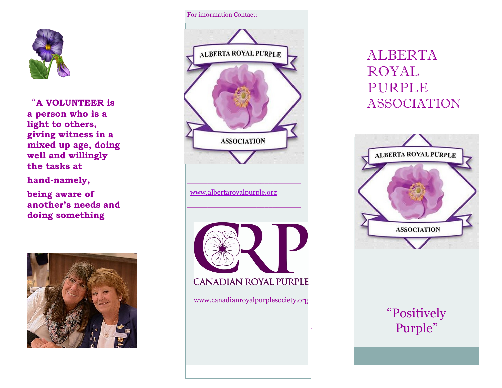

"**A VOLUNTEER is a person who is a light to others, giving witness in a mixed up age, doing well and willingly the tasks at**

**hand-namely,** 

**being aware of another's needs and doing something** 



#### For information Contact:



# ALBERTA ROYAL PURPLE ASSOCIATION



# "Positively Purple"